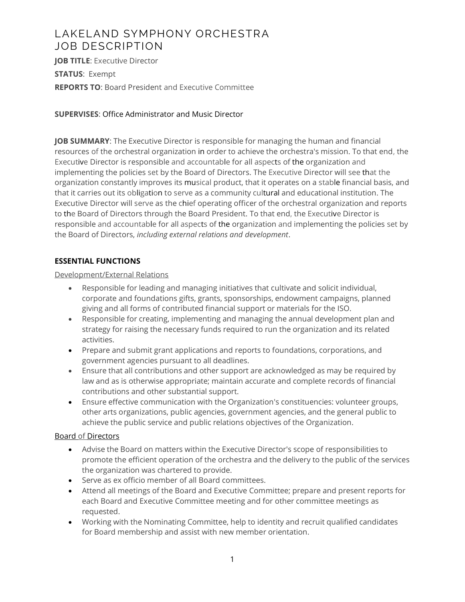## LAKELAND SYMPHONY ORCHESTRA JOB DESCRIPTION

**JOB TITLE: Executive Director STATUS**: Exempt **REPORTS TO**: Board President and Executive Committee

**SUPERVISES**: Office Administrator and Music Director

**JOB SUMMARY**: The Executive Director is responsible for managing the human and financial resources of the orchestral organization in order to achieve the orchestra's mission. To that end, the Executive Director is responsible and accountable for all aspects of the organization and implementing the policies set by the Board of Directors. The Executive Director will see that the organization constantly improves its musical product, that it operates on a stable financial basis, and that it carries out its obligation to serve as a community cultural and educational institution. The Executive Director will serve as the chief operating officer of the orchestral organization and reports to the Board of Directors through the Board President. To that end, the Executive Director is responsible and accountable for all aspects of the organization and implementing the policies set by the Board of Directors, *including external relations and development*.

## **ESSENTIAL FUNCTIONS**

#### Development/External Relations

- Responsible for leading and managing initiatives that cultivate and solicit individual, corporate and foundations gifts, grants, sponsorships, endowment campaigns, planned giving and all forms of contributed financial support or materials for the ISO.
- Responsible for creating, implementing and managing the annual development plan and strategy for raising the necessary funds required to run the organization and its related activities.
- Prepare and submit grant applications and reports to foundations, corporations, and government agencies pursuant to all deadlines.
- Ensure that all contributions and other support are acknowledged as may be required by law and as is otherwise appropriate; maintain accurate and complete records of financial contributions and other substantial support.
- Ensure effective communication with the Organization's constituencies: volunteer groups, other arts organizations, public agencies, government agencies, and the general public to achieve the public service and public relations objectives of the Organization.

### Board of Directors

- Advise the Board on matters within the Executive Director's scope of responsibilities to promote the efficient operation of the orchestra and the delivery to the public of the services the organization was chartered to provide.
- Serve as ex officio member of all Board committees.
- Attend all meetings of the Board and Executive Committee; prepare and present reports for each Board and Executive Committee meeting and for other committee meetings as requested.
- Working with the Nominating Committee, help to identity and recruit qualified candidates for Board membership and assist with new member orientation.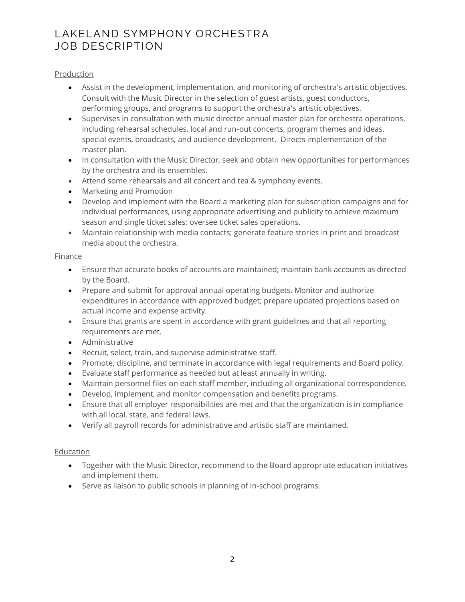## LAKELAND SYMPHONY ORCHESTRA JOB DESCRIPTION

#### Production

- Assist in the development, implementation, and monitoring of orchestra's artistic objectives. Consult with the Music Director in the selection of guest artists, guest conductors, performing groups, and programs to support the orchestra's artistic objectives.
- Supervises in consultation with music director annual master plan for orchestra operations, including rehearsal schedules, local and run-out concerts, program themes and ideas, special events, broadcasts, and audience development. Directs implementation of the master plan.
- In consultation with the Music Director, seek and obtain new opportunities for performances by the orchestra and its ensembles.
- Attend some rehearsals and all concert and tea & symphony events.
- Marketing and Promotion
- Develop and implement with the Board a marketing plan for subscription campaigns and for individual performances, using appropriate advertising and publicity to achieve maximum season and single ticket sales; oversee ticket sales operations.
- Maintain relationship with media contacts; generate feature stories in print and broadcast media about the orchestra.

#### Finance

- Ensure that accurate books of accounts are maintained; maintain bank accounts as directed by the Board.
- Prepare and submit for approval annual operating budgets. Monitor and authorize expenditures in accordance with approved budget; prepare updated projections based on actual income and expense activity.
- Ensure that grants are spent in accordance with grant guidelines and that all reporting requirements are met.
- Administrative
- Recruit, select, train, and supervise administrative staff.
- Promote, discipline, and terminate in accordance with legal requirements and Board policy.
- Evaluate staff performance as needed but at least annually in writing.
- Maintain personnel files on each staff member, including all organizational correspondence.
- Develop, implement, and monitor compensation and benefits programs.
- Ensure that all employer responsibilities are met and that the organization is in compliance with all local, state, and federal laws.
- Verify all payroll records for administrative and artistic staff are maintained.

#### **Education**

- Together with the Music Director, recommend to the Board appropriate education initiatives and implement them.
- Serve as liaison to public schools in planning of in-school programs.